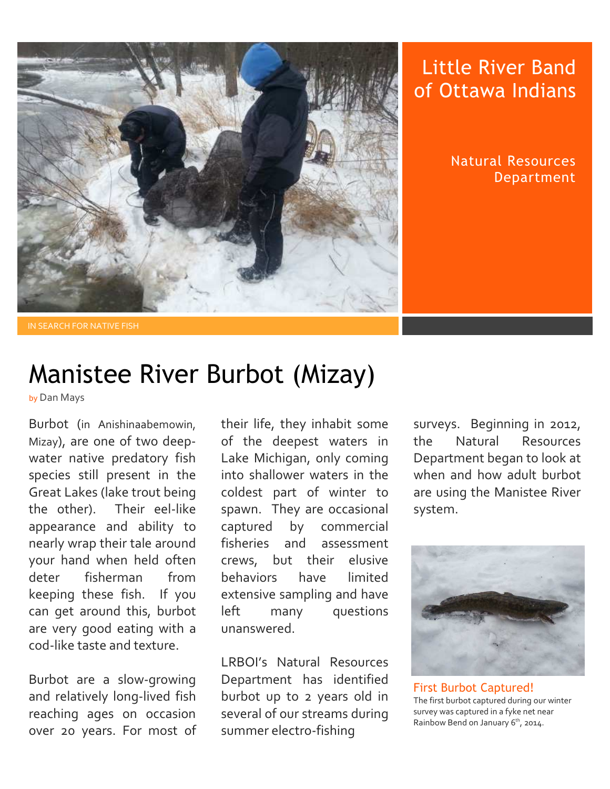

## Little River Band of Ottawa Indians

Natural Resources Department

## Manistee River Burbot (Mizay)

by Dan Mays

Burbot (in Anishinaabemowin, Mizay), are one of two deepwater native predatory fish species still present in the Great Lakes (lake trout being the other). Their eel-like appearance and ability to nearly wrap their tale around your hand when held often deter fisherman from keeping these fish. If you can get around this, burbot are very good eating with a cod-like taste and texture.

Burbot are a slow-growing and relatively long-lived fish reaching ages on occasion over 20 years. For most of their life, they inhabit some of the deepest waters in Lake Michigan, only coming into shallower waters in the coldest part of winter to spawn. They are occasional captured by commercial fisheries and assessment crews, but their elusive behaviors have limited extensive sampling and have left many questions unanswered.

LRBOI's Natural Resources Department has identified burbot up to 2 years old in several of our streams during summer electro-fishing

surveys. Beginning in 2012, the Natural Resources Department began to look at when and how adult burbot are using the Manistee River system.



 First Burbot Captured! The first burbot captured during our winter survey was captured in a fyke net near Rainbow Bend on January  $6<sup>th</sup>$ , 2014.